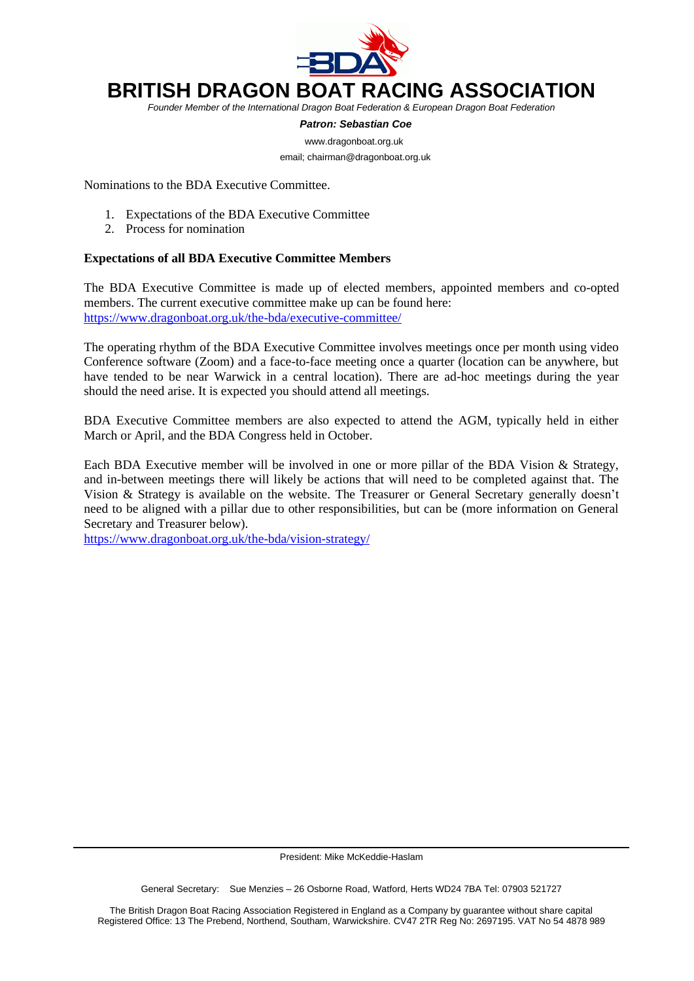

## **BRITISH DRAGON BOAT RACING ASSOCIATION**

*Founder Member of the International Dragon Boat Federation & European Dragon Boat Federation*

 *Patron: Sebastian Coe*

 [www.dragonboat.org.uk](http://www.dragonboat.org.uk/) email; chairman@dragonboat.org.uk

Nominations to the BDA Executive Committee.

- 1. Expectations of the BDA Executive Committee
- 2. Process for nomination

## **Expectations of all BDA Executive Committee Members**

The BDA Executive Committee is made up of elected members, appointed members and co-opted members. The current executive committee make up can be found here: <https://www.dragonboat.org.uk/the-bda/executive-committee/>

The operating rhythm of the BDA Executive Committee involves meetings once per month using video Conference software (Zoom) and a face-to-face meeting once a quarter (location can be anywhere, but have tended to be near Warwick in a central location). There are ad-hoc meetings during the year should the need arise. It is expected you should attend all meetings.

BDA Executive Committee members are also expected to attend the AGM, typically held in either March or April, and the BDA Congress held in October.

Each BDA Executive member will be involved in one or more pillar of the BDA Vision & Strategy, and in-between meetings there will likely be actions that will need to be completed against that. The Vision & Strategy is available on the website. The Treasurer or General Secretary generally doesn't need to be aligned with a pillar due to other responsibilities, but can be (more information on General Secretary and Treasurer below).

<https://www.dragonboat.org.uk/the-bda/vision-strategy/>

President: Mike McKeddie-Haslam